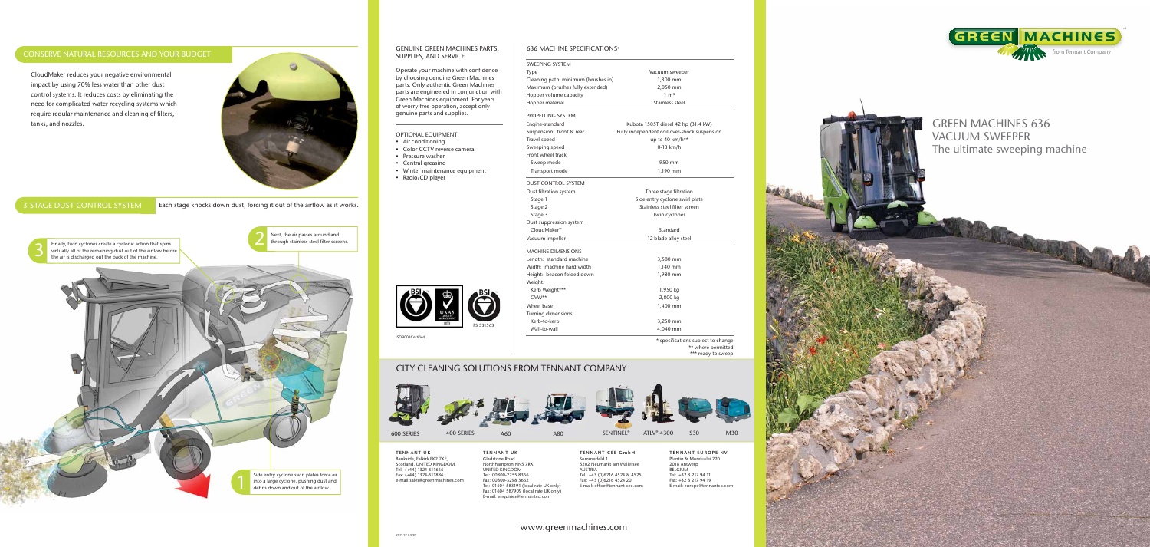

# GREEN MACHINES 636 VACUUM SWEEPER The ultimate sweeping machine

#### GENUINE GREEN MACHINES PARTS, SUPPLIES, AND SERVICE

Operate your machine with confidence by choosing genuine Green Machines parts. Only authentic Green Machines parts are engineered in conjunction with Green Machines equipment. For years of worry-free operation, accept only genuine parts and supplies.

Finally, twin cyclones create a cyclonic action that spins<br>virtually all of the remaining dust out of the airflow before<br>the air is discharged out the back of the machine. Finally, twin cyclones create a cyclonic action that spins virtually all of the remaining dust out of the airflow before the air is discharged out the back of the machine.



Next, the air passes around and<br>through stainless steel filter screens.

#### OPTIONAL EQUIPMENT



- Air conditioning
- Color CCTV reverse camera
- Pressure washer
- Central greasing
- Winter maintenance equipment
- Radio/CD player

DUST CONTROL SYSTEM Dust filtration system Stage 1 Stage 2 Stage 3 Dust suppression system CloudMaker<sup>™</sup>

## 636 MACHINE SPECIFICATIONS\*

### SWEEPING SYSTEM

> TENNANT CEE GmbH Sommerfeld 1 5202 Neumarkt am Wallersee AUSTRIA Tel: +43 (0)6216 4524 & 4525 Fax: +43 (0)6216 4524 20 E-mail: office@tennant-cee.com

| <b>SWEEPING SYSTEM</b><br>Type      | Vacuum sweeper                               |
|-------------------------------------|----------------------------------------------|
| Cleaning path: minimum (brushes in) | 1,300 mm                                     |
| Maximum (brushes fully extended)    | 2,050 mm                                     |
| Hopper volume capacity              | $1 \text{ m}^3$                              |
| Hopper material                     | Stainless steel                              |
|                                     |                                              |
| PROPELLING SYSTEM                   |                                              |
| Engine-standard                     | Kubota 1505T diesel 42 hp (31.4 kW)          |
| Suspension: front & rear            | Fully independent coil over-shock suspension |
| Travel speed                        | up to 40 km/h**                              |
| Sweeping speed                      | $0-13$ km/h                                  |
| Front wheel track                   |                                              |
| Sweep mode                          | 950 mm                                       |
| Transport mode                      | 1,190 mm                                     |
| <b>DUST CONTROL SYSTEM</b>          |                                              |
| Dust filtration system              | Three stage filtration                       |
| Stage 1                             | Side entry cyclone swirl plate               |
| Stage 2                             | Stainless steel filter screen                |
| Stage 3                             | Twin cyclones                                |
| Dust suppression system             |                                              |
| CloudMaker™                         | Standard                                     |
| Vacuum impeller                     | 12 blade alloy steel                         |
| <b>MACHINE DIMENSIONS</b>           |                                              |
| Length: standard machine            | 3,580 mm                                     |
| Width: machine hard width           | 1,140 mm                                     |
| Height: beacon folded down          | 1,980 mm                                     |
| Weight:                             |                                              |
| Kerb Weight***                      | 1,950 kg                                     |
| $GW**$                              | 2,800 kg                                     |
| Wheel base                          | 1,400 mm                                     |
| Turning dimensions                  |                                              |
| Kerb-to-kerb                        | 3,250 mm                                     |
| Wall-to-wall                        | 4,040 mm                                     |
|                                     | * specifications subject to change           |
|                                     | ** where permitted<br>*** ready to sweep     |
| <b>DM TENNANT COMPANY</b>           |                                              |
|                                     |                                              |

MACHINE DIMENSIONS Length: standard machin Width: machine hard wi Height: beacon folded o Weight:

Turning dimensions

### CONSERVE NATURAL RESOURCES AND YOUR BUDGET

### 3-STAGE DUST CONTROL SYSTEM

Each stage knocks down dust, forcing it out of the airflow as it works.



CloudMaker reduces your negative environmental impact by using 70% less water than other dust control systems. It reduces costs by eliminating the need for complicated water recycling systems which require regular maintenance and cleaning of filters, tanks, and nozzles.





 $GW**$ Wheel base Kerb-to-kerb

ISO9001 Certified

### CITY CLEANING SOLUTIONS FROM TENNANT



TENNANT EUROPE NV Plantin & Moretuslei 220 2018 Antwerp BELGIUM Tel: +32 3 217 94 11 Fax: +32 3 217 94 19 E-mail: europe@tennantco.com

TENNANT UK Bankside, Falkirk FK2 7XE, Scotland, UNITED KINGDOM. Tel: (+44) 1324-611666 Fax: (+44) 1324-611886 e-mail:sales@greenmachines.com TENNANT UK Gladstone Road Northhampton NN5 7RX UNITED KINGDOM Tel: 00800-2255 8366 Fax: 00800-3298 3662 Tel: 01604 583191 (local rate UK only) Fax: 01604 587909 (local rate UK only) E-mail: enquiries@tennantco.com